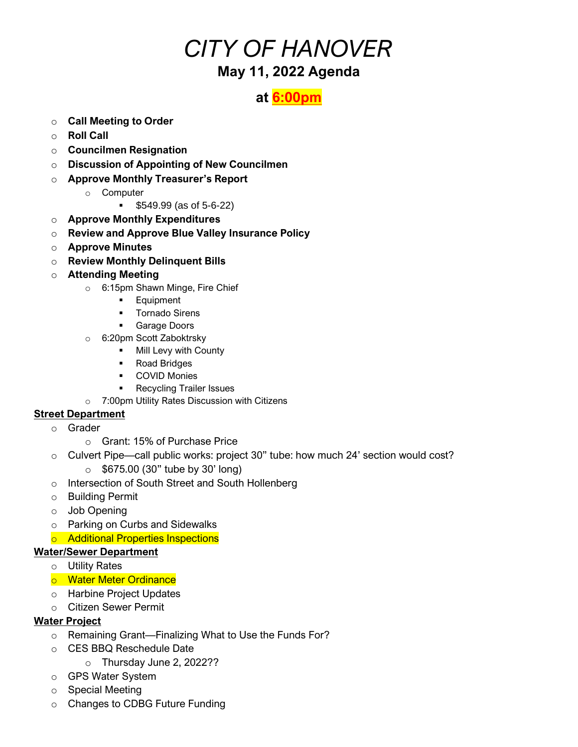## *CITY OF HANOVER* **May 11, 2022 Agenda**

### **at 6:00pm**

- o **Call Meeting to Order**
- o **Roll Call**
- o **Councilmen Resignation**
- o **Discussion of Appointing of New Councilmen**
- o **Approve Monthly Treasurer's Report**
	- o Computer
		- \$549.99 (as of 5-6-22)
- o **Approve Monthly Expenditures**
- o **Review and Approve Blue Valley Insurance Policy**
- o **Approve Minutes**
- o **Review Monthly Delinquent Bills**
- o **Attending Meeting**
	- o 6:15pm Shawn Minge, Fire Chief
		- Equipment
		- Tornado Sirens
		- Garage Doors
	- o 6:20pm Scott Zaboktrsky
		- **■** Mill Levy with County
		- Road Bridges
		- COVID Monies
		- Recycling Trailer Issues
	- o 7:00pm Utility Rates Discussion with Citizens

#### **Street Department**

- o Grader
	- o Grant: 15% of Purchase Price
- o Culvert Pipe—call public works: project 30" tube: how much 24' section would cost?  $\circ$  \$675.00 (30" tube by 30' long)
- o Intersection of South Street and South Hollenberg
- o Building Permit
- o Job Opening
- o Parking on Curbs and Sidewalks
- o Additional Properties Inspections

#### **Water/Sewer Department**

- o Utility Rates
- o Water Meter Ordinance
- o Harbine Project Updates
- o Citizen Sewer Permit

#### **Water Project**

- o Remaining Grant—Finalizing What to Use the Funds For?
- o CES BBQ Reschedule Date
	- o Thursday June 2, 2022??
- o GPS Water System
- o Special Meeting
- o Changes to CDBG Future Funding